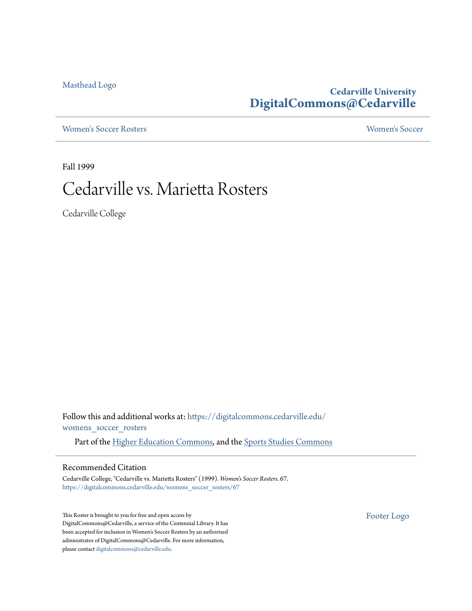[Masthead Logo](http://www.cedarville.edu/?utm_source=digitalcommons.cedarville.edu%2Fwomens_soccer_rosters%2F67&utm_medium=PDF&utm_campaign=PDFCoverPages)

### **Cedarville University [DigitalCommons@Cedarville](https://digitalcommons.cedarville.edu?utm_source=digitalcommons.cedarville.edu%2Fwomens_soccer_rosters%2F67&utm_medium=PDF&utm_campaign=PDFCoverPages)**

[Women's Soccer Rosters](https://digitalcommons.cedarville.edu/womens_soccer_rosters?utm_source=digitalcommons.cedarville.edu%2Fwomens_soccer_rosters%2F67&utm_medium=PDF&utm_campaign=PDFCoverPages) [Women's Soccer](https://digitalcommons.cedarville.edu/womens_soccer?utm_source=digitalcommons.cedarville.edu%2Fwomens_soccer_rosters%2F67&utm_medium=PDF&utm_campaign=PDFCoverPages)

Fall 1999

# Cedarville vs. Marietta Rosters

Cedarville College

Follow this and additional works at: [https://digitalcommons.cedarville.edu/](https://digitalcommons.cedarville.edu/womens_soccer_rosters?utm_source=digitalcommons.cedarville.edu%2Fwomens_soccer_rosters%2F67&utm_medium=PDF&utm_campaign=PDFCoverPages) [womens\\_soccer\\_rosters](https://digitalcommons.cedarville.edu/womens_soccer_rosters?utm_source=digitalcommons.cedarville.edu%2Fwomens_soccer_rosters%2F67&utm_medium=PDF&utm_campaign=PDFCoverPages)

Part of the [Higher Education Commons](http://network.bepress.com/hgg/discipline/1245?utm_source=digitalcommons.cedarville.edu%2Fwomens_soccer_rosters%2F67&utm_medium=PDF&utm_campaign=PDFCoverPages), and the [Sports Studies Commons](http://network.bepress.com/hgg/discipline/1198?utm_source=digitalcommons.cedarville.edu%2Fwomens_soccer_rosters%2F67&utm_medium=PDF&utm_campaign=PDFCoverPages)

#### Recommended Citation

Cedarville College, "Cedarville vs. Marietta Rosters" (1999). *Women's Soccer Rosters*. 67. [https://digitalcommons.cedarville.edu/womens\\_soccer\\_rosters/67](https://digitalcommons.cedarville.edu/womens_soccer_rosters/67?utm_source=digitalcommons.cedarville.edu%2Fwomens_soccer_rosters%2F67&utm_medium=PDF&utm_campaign=PDFCoverPages)

This Roster is brought to you for free and open access by DigitalCommons@Cedarville, a service of the Centennial Library. It has been accepted for inclusion in Women's Soccer Rosters by an authorized administrator of DigitalCommons@Cedarville. For more information, please contact [digitalcommons@cedarville.edu.](mailto:digitalcommons@cedarville.edu)

[Footer Logo](http://www.cedarville.edu/Academics/Library.aspx?utm_source=digitalcommons.cedarville.edu%2Fwomens_soccer_rosters%2F67&utm_medium=PDF&utm_campaign=PDFCoverPages)